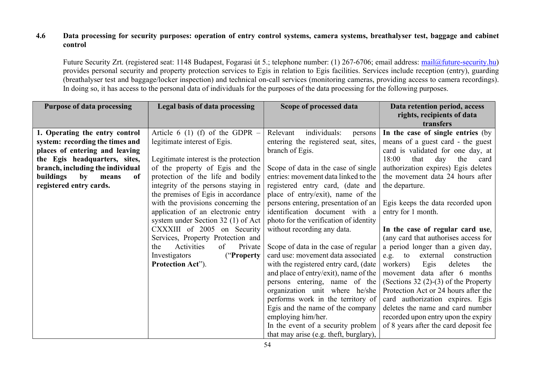## 4.6 Data processing for security purposes: operation of entry control systems, camera systems, breathalyser test, baggage and cabinet control

Future Security Zrt. (registered seat: 1148 Budapest, Fogarasi út 5.; telephone number: (1) 267-6706; email address: mail@future-security.hu) provides personal security and property protection services to Egis in relation to Egis facilities. Services include reception (entry), guarding (breathalyser test and baggage/locker inspection) and technical on-call services (monitoring cameras, providing access to camera recordings). In doing so, it has access to the personal data of individuals for the purposes of the data processing for the following purposes.

| <b>Purpose of data processing</b>                  | Legal basis of data processing        | Scope of processed data                | Data retention period, access           |
|----------------------------------------------------|---------------------------------------|----------------------------------------|-----------------------------------------|
|                                                    |                                       |                                        | rights, recipients of data<br>transfers |
| 1. Operating the entry control                     | Article 6 (1) (f) of the GDPR $-$     | individuals:<br>Relevant<br>persons    | In the case of single entries (by       |
| system: recording the times and                    | legitimate interest of Egis.          | entering the registered seat, sites,   | means of a guest card - the guest       |
| places of entering and leaving                     |                                       | branch of Egis.                        | card is validated for one day, at       |
| the Egis headquarters, sites,                      | Legitimate interest is the protection |                                        | 18:00<br>that<br>day<br>the<br>card     |
| branch, including the individual                   | of the property of Egis and the       | Scope of data in the case of single    | authorization expires) Egis deletes     |
| buildings<br>$\mathbf{b}\mathbf{v}$<br>of<br>means | protection of the life and bodily     | entries: movement data linked to the   | the movement data 24 hours after        |
| registered entry cards.                            | integrity of the persons staying in   | registered entry card, (date and       | the departure.                          |
|                                                    | the premises of Egis in accordance    | place of entry/exit), name of the      |                                         |
|                                                    | with the provisions concerning the    | persons entering, presentation of an   | Egis keeps the data recorded upon       |
|                                                    | application of an electronic entry    | identification document with a         | entry for 1 month.                      |
|                                                    | system under Section 32 (1) of Act    | photo for the verification of identity |                                         |
|                                                    | CXXXIII of 2005 on Security           | without recording any data.            | In the case of regular card use,        |
|                                                    | Services, Property Protection and     |                                        | (any card that authorises access for    |
|                                                    | Activities<br>of<br>Private<br>the    | Scope of data in the case of regular   | a period longer than a given day,       |
|                                                    | Investigators<br>("Property")         | card use: movement data associated     | external<br>construction<br>$e.g.$ to   |
|                                                    | Protection Act").                     | with the registered entry card, (date  | workers)<br>Egis<br>deletes<br>the      |
|                                                    |                                       | and place of entry/exit), name of the  | movement data after 6 months            |
|                                                    |                                       | persons entering, name of the          | (Sections $32$ (2)-(3) of the Property  |
|                                                    |                                       | organization unit where he/she         | Protection Act or 24 hours after the    |
|                                                    |                                       | performs work in the territory of      | card authorization expires. Egis        |
|                                                    |                                       | Egis and the name of the company       | deletes the name and card number        |
|                                                    |                                       | employing him/her.                     | recorded upon entry upon the expiry     |
|                                                    |                                       | In the event of a security problem     | of 8 years after the card deposit fee   |
|                                                    |                                       | that may arise (e.g. theft, burglary), |                                         |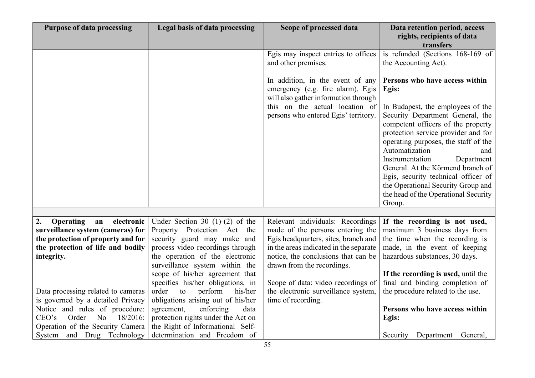| <b>Purpose of data processing</b>                                       | Legal basis of data processing                                          | Scope of processed data                                                                                       | Data retention period, access<br>rights, recipients of data                                                                                                                                                                                                                                                                                                                                                              |
|-------------------------------------------------------------------------|-------------------------------------------------------------------------|---------------------------------------------------------------------------------------------------------------|--------------------------------------------------------------------------------------------------------------------------------------------------------------------------------------------------------------------------------------------------------------------------------------------------------------------------------------------------------------------------------------------------------------------------|
|                                                                         |                                                                         |                                                                                                               | transfers                                                                                                                                                                                                                                                                                                                                                                                                                |
|                                                                         |                                                                         | Egis may inspect entries to offices<br>and other premises.                                                    | is refunded (Sections 168-169 of<br>the Accounting Act).                                                                                                                                                                                                                                                                                                                                                                 |
|                                                                         |                                                                         | In addition, in the event of any<br>emergency (e.g. fire alarm), Egis<br>will also gather information through | Persons who have access within<br>Egis:                                                                                                                                                                                                                                                                                                                                                                                  |
|                                                                         |                                                                         | this on the actual location of<br>persons who entered Egis' territory.                                        | In Budapest, the employees of the<br>Security Department General, the<br>competent officers of the property<br>protection service provider and for<br>operating purposes, the staff of the<br>Automatization<br>and<br>Instrumentation<br>Department<br>General. At the Körmend branch of<br>Egis, security technical officer of<br>the Operational Security Group and<br>the head of the Operational Security<br>Group. |
| <b>Operating</b><br>electronic<br>2.                                    |                                                                         |                                                                                                               |                                                                                                                                                                                                                                                                                                                                                                                                                          |
| an<br>surveillance system (cameras) for                                 | Under Section 30 $(1)-(2)$ of the<br>Property Protection Act the        | Relevant individuals: Recordings<br>made of the persons entering the                                          | If the recording is not used,<br>maximum 3 business days from                                                                                                                                                                                                                                                                                                                                                            |
| the protection of property and for                                      | security guard may make and                                             | Egis headquarters, sites, branch and                                                                          | the time when the recording is                                                                                                                                                                                                                                                                                                                                                                                           |
| the protection of life and bodily                                       | process video recordings through                                        | in the areas indicated in the separate                                                                        | made, in the event of keeping                                                                                                                                                                                                                                                                                                                                                                                            |
| integrity.                                                              | the operation of the electronic                                         | notice, the conclusions that can be                                                                           | hazardous substances, 30 days.                                                                                                                                                                                                                                                                                                                                                                                           |
|                                                                         | surveillance system within the                                          | drawn from the recordings.                                                                                    |                                                                                                                                                                                                                                                                                                                                                                                                                          |
|                                                                         | scope of his/her agreement that                                         |                                                                                                               | If the recording is used, until the                                                                                                                                                                                                                                                                                                                                                                                      |
|                                                                         | specifies his/her obligations, in                                       | Scope of data: video recordings of                                                                            | final and binding completion of                                                                                                                                                                                                                                                                                                                                                                                          |
| Data processing related to cameras<br>is governed by a detailed Privacy | perform<br>order<br>to<br>his/her<br>obligations arising out of his/her | the electronic surveillance system,<br>time of recording.                                                     | the procedure related to the use.                                                                                                                                                                                                                                                                                                                                                                                        |
| Notice and rules of procedure:                                          | agreement,<br>enforcing<br>data                                         |                                                                                                               | Persons who have access within                                                                                                                                                                                                                                                                                                                                                                                           |
| CEO's<br>Order<br>No<br>18/2016:                                        | protection rights under the Act on                                      |                                                                                                               | Egis:                                                                                                                                                                                                                                                                                                                                                                                                                    |
| Operation of the Security Camera                                        | the Right of Informational Self-                                        |                                                                                                               |                                                                                                                                                                                                                                                                                                                                                                                                                          |
| System and Drug Technology                                              | determination and Freedom of                                            |                                                                                                               | Security Department General,                                                                                                                                                                                                                                                                                                                                                                                             |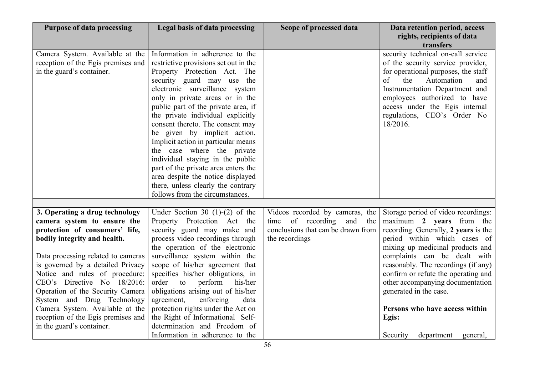| <b>Purpose of data processing</b>  | Legal basis of data processing        | Scope of processed data            | Data retention period, access<br>rights, recipients of data |
|------------------------------------|---------------------------------------|------------------------------------|-------------------------------------------------------------|
|                                    |                                       |                                    | transfers                                                   |
| Camera System. Available at the    | Information in adherence to the       |                                    | security technical on-call service                          |
| reception of the Egis premises and | restrictive provisions set out in the |                                    | of the security service provider,                           |
| in the guard's container.          | Property Protection Act. The          |                                    | for operational purposes, the staff                         |
|                                    | security guard may use the            |                                    | of<br>Automation<br>the<br>and                              |
|                                    | electronic surveillance system        |                                    | Instrumentation Department and                              |
|                                    | only in private areas or in the       |                                    | employees authorized to have                                |
|                                    | public part of the private area, if   |                                    | access under the Egis internal                              |
|                                    | the private individual explicitly     |                                    | regulations, CEO's Order No                                 |
|                                    | consent thereto. The consent may      |                                    | 18/2016.                                                    |
|                                    | be given by implicit action.          |                                    |                                                             |
|                                    | Implicit action in particular means   |                                    |                                                             |
|                                    | the case where the private            |                                    |                                                             |
|                                    | individual staying in the public      |                                    |                                                             |
|                                    | part of the private area enters the   |                                    |                                                             |
|                                    | area despite the notice displayed     |                                    |                                                             |
|                                    | there, unless clearly the contrary    |                                    |                                                             |
|                                    | follows from the circumstances.       |                                    |                                                             |
|                                    |                                       |                                    |                                                             |
| 3. Operating a drug technology     | Under Section 30 $(1)-(2)$ of the     | Videos recorded by cameras, the    | Storage period of video recordings:                         |
| camera system to ensure the        | Property Protection Act the           | time of recording<br>and<br>the    | maximum 2 years from the                                    |
| protection of consumers' life,     | security guard may make and           | conclusions that can be drawn from | recording. Generally, 2 years is the                        |
| bodily integrity and health.       | process video recordings through      | the recordings                     | period within which cases of                                |
|                                    | the operation of the electronic       |                                    | mixing up medicinal products and                            |
| Data processing related to cameras | surveillance system within the        |                                    | complaints can be dealt with                                |
| is governed by a detailed Privacy  | scope of his/her agreement that       |                                    | reasonably. The recordings (if any)                         |
| Notice and rules of procedure:     | specifies his/her obligations, in     |                                    | confirm or refute the operating and                         |
| CEO's Directive No 18/2016:        | perform<br>order<br>to<br>his/her     |                                    | other accompanying documentation                            |
| Operation of the Security Camera   | obligations arising out of his/her    |                                    | generated in the case.                                      |
| System and Drug Technology         | agreement,<br>enforcing<br>data       |                                    |                                                             |
| Camera System. Available at the    | protection rights under the Act on    |                                    | Persons who have access within                              |
| reception of the Egis premises and | the Right of Informational Self-      |                                    | Egis:                                                       |
| in the guard's container.          | determination and Freedom of          |                                    |                                                             |
|                                    | Information in adherence to the       |                                    | Security<br>department<br>general,                          |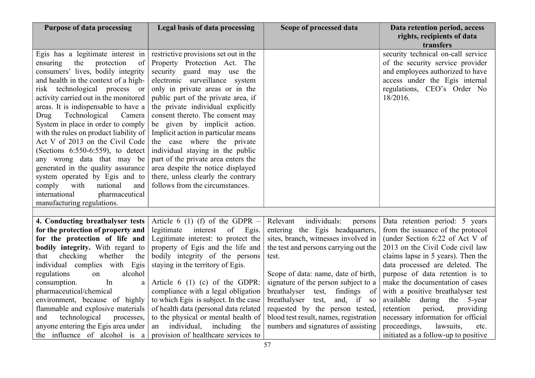| <b>Purpose of data processing</b>                                                                                                                                                                                                                                                                                                                                                                                                                                                                                                                                                                                                                                               | <b>Legal basis of data processing</b>                                                                                                                                                                                                                                                                                                                                                                                                                                                                                                                                                  | Scope of processed data                                                 | Data retention period, access<br>rights, recipients of data                                                                                                                                          |
|---------------------------------------------------------------------------------------------------------------------------------------------------------------------------------------------------------------------------------------------------------------------------------------------------------------------------------------------------------------------------------------------------------------------------------------------------------------------------------------------------------------------------------------------------------------------------------------------------------------------------------------------------------------------------------|----------------------------------------------------------------------------------------------------------------------------------------------------------------------------------------------------------------------------------------------------------------------------------------------------------------------------------------------------------------------------------------------------------------------------------------------------------------------------------------------------------------------------------------------------------------------------------------|-------------------------------------------------------------------------|------------------------------------------------------------------------------------------------------------------------------------------------------------------------------------------------------|
| Egis has a legitimate interest in<br>the<br>protection<br>of<br>ensuring<br>consumers' lives, bodily integrity<br>and health in the context of a high-<br>risk technological process or<br>activity carried out in the monitored<br>areas. It is indispensable to have a<br>Technological<br>Camera<br>Drug<br>System in place in order to comply<br>with the rules on product liability of<br>Act V of 2013 on the Civil Code<br>(Sections 6:550-6:559), to detect<br>any wrong data that may be<br>generated in the quality assurance<br>system operated by Egis and to<br>comply<br>with<br>national<br>and<br>international<br>pharmaceutical<br>manufacturing regulations. | restrictive provisions set out in the<br>Property Protection Act. The<br>security guard may use the<br>electronic surveillance system<br>only in private areas or in the<br>public part of the private area, if<br>the private individual explicitly<br>consent thereto. The consent may<br>be given by implicit action.<br>Implicit action in particular means<br>the case where the private<br>individual staying in the public<br>part of the private area enters the<br>area despite the notice displayed<br>there, unless clearly the contrary<br>follows from the circumstances. |                                                                         | transfers<br>security technical on-call service<br>of the security service provider<br>and employees authorized to have<br>access under the Egis internal<br>regulations, CEO's Order No<br>18/2016. |
|                                                                                                                                                                                                                                                                                                                                                                                                                                                                                                                                                                                                                                                                                 |                                                                                                                                                                                                                                                                                                                                                                                                                                                                                                                                                                                        |                                                                         |                                                                                                                                                                                                      |
| 4. Conducting breathalyser tests                                                                                                                                                                                                                                                                                                                                                                                                                                                                                                                                                                                                                                                | Article 6 (1) (f) of the GDPR $-$                                                                                                                                                                                                                                                                                                                                                                                                                                                                                                                                                      | individuals:<br>Relevant<br>persons                                     | Data retention period: 5 years                                                                                                                                                                       |
| for the protection of property and<br>for the protection of life and                                                                                                                                                                                                                                                                                                                                                                                                                                                                                                                                                                                                            | legitimate interest<br>of<br>Egis.<br>Legitimate interest: to protect the                                                                                                                                                                                                                                                                                                                                                                                                                                                                                                              | entering the Egis headquarters,<br>sites, branch, witnesses involved in | from the issuance of the protocol<br>(under Section 6:22 of Act V of                                                                                                                                 |
| <b>bodily integrity.</b> With regard to                                                                                                                                                                                                                                                                                                                                                                                                                                                                                                                                                                                                                                         | property of Egis and the life and                                                                                                                                                                                                                                                                                                                                                                                                                                                                                                                                                      | the test and persons carrying out the                                   | 2013 on the Civil Code civil law                                                                                                                                                                     |
| checking<br>whether<br>the<br>that                                                                                                                                                                                                                                                                                                                                                                                                                                                                                                                                                                                                                                              | bodily integrity of the persons                                                                                                                                                                                                                                                                                                                                                                                                                                                                                                                                                        | test.                                                                   | claims lapse in 5 years). Then the                                                                                                                                                                   |
| individual complies with Egis                                                                                                                                                                                                                                                                                                                                                                                                                                                                                                                                                                                                                                                   | staying in the territory of Egis.                                                                                                                                                                                                                                                                                                                                                                                                                                                                                                                                                      |                                                                         | data processed are deleted. The                                                                                                                                                                      |
| regulations<br>alcohol<br>on                                                                                                                                                                                                                                                                                                                                                                                                                                                                                                                                                                                                                                                    |                                                                                                                                                                                                                                                                                                                                                                                                                                                                                                                                                                                        | Scope of data: name, date of birth,                                     | purpose of data retention is to                                                                                                                                                                      |
| In<br>consumption.                                                                                                                                                                                                                                                                                                                                                                                                                                                                                                                                                                                                                                                              | Article $6(1)(c)$ of the GDPR:                                                                                                                                                                                                                                                                                                                                                                                                                                                                                                                                                         | signature of the person subject to a                                    | make the documentation of cases                                                                                                                                                                      |
| pharmaceutical/chemical                                                                                                                                                                                                                                                                                                                                                                                                                                                                                                                                                                                                                                                         | compliance with a legal obligation                                                                                                                                                                                                                                                                                                                                                                                                                                                                                                                                                     | breathalyser<br>test,<br>findings of                                    | with a positive breathalyser test                                                                                                                                                                    |
| environment, because of highly                                                                                                                                                                                                                                                                                                                                                                                                                                                                                                                                                                                                                                                  | to which Egis is subject. In the case                                                                                                                                                                                                                                                                                                                                                                                                                                                                                                                                                  | breathalyser test,<br>and, if so                                        | available during the 5-year                                                                                                                                                                          |
| flammable and explosive materials                                                                                                                                                                                                                                                                                                                                                                                                                                                                                                                                                                                                                                               | of health data (personal data related                                                                                                                                                                                                                                                                                                                                                                                                                                                                                                                                                  | requested by the person tested,                                         | retention<br>period,<br>providing                                                                                                                                                                    |
| and<br>technological<br>processes,                                                                                                                                                                                                                                                                                                                                                                                                                                                                                                                                                                                                                                              | to the physical or mental health of                                                                                                                                                                                                                                                                                                                                                                                                                                                                                                                                                    | blood test result, names, registration                                  | necessary information for official                                                                                                                                                                   |
| anyone entering the Egis area under                                                                                                                                                                                                                                                                                                                                                                                                                                                                                                                                                                                                                                             | individual,<br>including<br>the<br>an                                                                                                                                                                                                                                                                                                                                                                                                                                                                                                                                                  | numbers and signatures of assisting                                     | proceedings,<br>lawsuits,<br>etc.                                                                                                                                                                    |
| the influence of alcohol is a                                                                                                                                                                                                                                                                                                                                                                                                                                                                                                                                                                                                                                                   | provision of healthcare services to                                                                                                                                                                                                                                                                                                                                                                                                                                                                                                                                                    |                                                                         | initiated as a follow-up to positive                                                                                                                                                                 |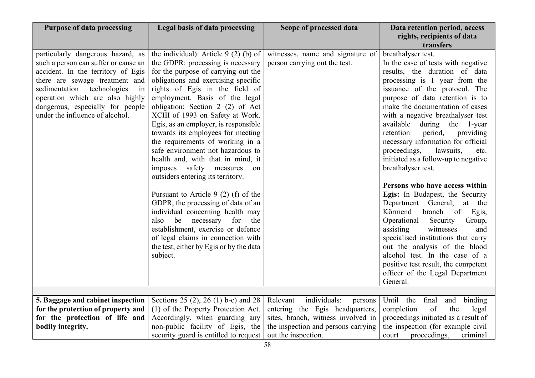| <b>Purpose of data processing</b>                                                                                                                                                                                                                                                                  | Legal basis of data processing                                                                                                                                                                                                                                                                                                                                                                                                                                                                                                    | Scope of processed data                                                                                      | Data retention period, access<br>rights, recipients of data<br>transfers                                                                                                                                                                                                                                                                                                                                                                                                                  |
|----------------------------------------------------------------------------------------------------------------------------------------------------------------------------------------------------------------------------------------------------------------------------------------------------|-----------------------------------------------------------------------------------------------------------------------------------------------------------------------------------------------------------------------------------------------------------------------------------------------------------------------------------------------------------------------------------------------------------------------------------------------------------------------------------------------------------------------------------|--------------------------------------------------------------------------------------------------------------|-------------------------------------------------------------------------------------------------------------------------------------------------------------------------------------------------------------------------------------------------------------------------------------------------------------------------------------------------------------------------------------------------------------------------------------------------------------------------------------------|
| particularly dangerous hazard, as<br>such a person can suffer or cause an<br>accident. In the territory of Egis<br>there are sewage treatment and<br>sedimentation<br>technologies<br>in<br>operation which are also highly<br>dangerous, especially for people<br>under the influence of alcohol. | the individual): Article $9(2)$ (b) of<br>the GDPR: processing is necessary<br>for the purpose of carrying out the<br>obligations and exercising specific<br>rights of Egis in the field of<br>employment. Basis of the legal<br>obligation: Section 2 (2) of Act<br>XCIII of 1993 on Safety at Work.<br>Egis, as an employer, is responsible<br>towards its employees for meeting<br>the requirements of working in a<br>safe environment not hazardous to<br>health and, with that in mind, it<br>imposes safety measures<br>on | witnesses, name and signature of<br>person carrying out the test.                                            | breathalyser test.<br>In the case of tests with negative<br>results, the duration of data<br>processing is 1 year from the<br>issuance of the protocol. The<br>purpose of data retention is to<br>make the documentation of cases<br>with a negative breathalyser test<br>available<br>during the<br>1-year<br>retention<br>period,<br>providing<br>necessary information for official<br>proceedings,<br>lawsuits,<br>etc.<br>initiated as a follow-up to negative<br>breathalyser test. |
|                                                                                                                                                                                                                                                                                                    | outsiders entering its territory.<br>Pursuant to Article 9 (2) (f) of the<br>GDPR, the processing of data of an<br>individual concerning health may<br>be necessary for<br>the<br>also<br>establishment, exercise or defence<br>of legal claims in connection with<br>the test, either by Egis or by the data<br>subject.                                                                                                                                                                                                         |                                                                                                              | Persons who have access within<br>Egis: In Budapest, the Security<br>Department General, at the<br>Körmend<br>branch<br>of<br>Egis,<br>Operational<br>Security<br>Group,<br>assisting<br>witnesses<br>and<br>specialised institutions that carry<br>out the analysis of the blood<br>alcohol test. In the case of a<br>positive test result, the competent<br>officer of the Legal Department<br>General.                                                                                 |
|                                                                                                                                                                                                                                                                                                    |                                                                                                                                                                                                                                                                                                                                                                                                                                                                                                                                   |                                                                                                              |                                                                                                                                                                                                                                                                                                                                                                                                                                                                                           |
| 5. Baggage and cabinet inspection<br>for the protection of property and<br>for the protection of life and                                                                                                                                                                                          | Sections 25 (2), 26 (1) b-c) and 28<br>(1) of the Property Protection Act.<br>Accordingly, when guarding any                                                                                                                                                                                                                                                                                                                                                                                                                      | individuals:<br>Relevant<br>persons<br>entering the Egis headquarters,<br>sites, branch, witness involved in | Until<br>the final<br>binding<br>and<br>of<br>completion<br>the<br>legal<br>proceedings initiated as a result of                                                                                                                                                                                                                                                                                                                                                                          |
| bodily integrity.                                                                                                                                                                                                                                                                                  | non-public facility of Egis, the<br>security guard is entitled to request                                                                                                                                                                                                                                                                                                                                                                                                                                                         | the inspection and persons carrying<br>out the inspection.                                                   | the inspection (for example civil<br>proceedings,<br>criminal<br>court                                                                                                                                                                                                                                                                                                                                                                                                                    |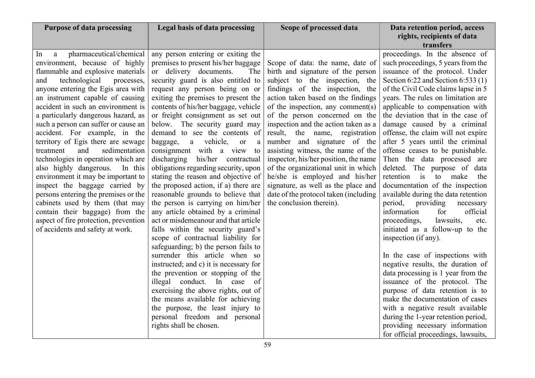| <b>Purpose of data processing</b>                                        | <b>Legal basis of data processing</b>                                      | Scope of processed data               | Data retention period, access                                       |
|--------------------------------------------------------------------------|----------------------------------------------------------------------------|---------------------------------------|---------------------------------------------------------------------|
|                                                                          |                                                                            |                                       | rights, recipients of data                                          |
|                                                                          |                                                                            |                                       | transfers                                                           |
| pharmaceutical/chemical<br>ln.<br>a                                      | any person entering or exiting the                                         |                                       | proceedings. In the absence of                                      |
| environment, because of highly                                           | premises to present his/her baggage                                        | Scope of data: the name, date of      | such proceedings, 5 years from the                                  |
| flammable and explosive materials                                        | or delivery documents.<br>The                                              | birth and signature of the person     | issuance of the protocol. Under                                     |
| technological<br>and<br>processes,                                       | security guard is also entitled to                                         | subject to the inspection, the        | Section 6:22 and Section 6:533 $(1)$                                |
| anyone entering the Egis area with                                       | request any person being on or                                             | findings of the inspection, the       | of the Civil Code claims lapse in 5                                 |
| an instrument capable of causing                                         | exiting the premises to present the                                        | action taken based on the findings    | years. The rules on limitation are                                  |
| accident in such an environment is                                       | contents of his/her baggage, vehicle                                       | of the inspection, any comment(s)     | applicable to compensation with                                     |
| a particularly dangerous hazard, as                                      | or freight consignment as set out                                          | of the person concerned on the        | the deviation that in the case of                                   |
| such a person can suffer or cause an                                     | below. The security guard may                                              | inspection and the action taken as a  | damage caused by a criminal                                         |
| accident. For example, in the                                            | demand to see the contents of                                              | result, the name, registration        | offense, the claim will not expire                                  |
| territory of Egis there are sewage                                       | a vehicle,<br>baggage,<br><sub>or</sub><br>a                               | number and signature of the           | after 5 years until the criminal                                    |
| and<br>sedimentation<br>treatment                                        | consignment with a view<br>to                                              | assisting witness, the name of the    | offense ceases to be punishable.                                    |
| technologies in operation which are                                      | discharging his/her contractual                                            | inspector, his/her position, the name | Then the data processed are                                         |
| also highly dangerous.<br>In this                                        | obligations regarding security, upon                                       | of the organizational unit in which   | deleted. The purpose of data                                        |
| environment it may be important to                                       | stating the reason and objective of                                        | he/she is employed and his/her        | retention is<br>to<br>make<br>the                                   |
| inspect the baggage carried by                                           | the proposed action, if a) there are                                       | signature, as well as the place and   | documentation of the inspection                                     |
| persons entering the premises or the                                     | reasonable grounds to believe that                                         | date of the protocol taken (including | available during the data retention                                 |
| cabinets used by them (that may                                          | the person is carrying on him/her                                          | the conclusion therein).              | period,<br>providing<br>necessary<br>information<br>for<br>official |
| contain their baggage) from the<br>aspect of fire protection, prevention | any article obtained by a criminal<br>act or misdemeanour and that article |                                       | lawsuits,<br>etc.                                                   |
| of accidents and safety at work.                                         | falls within the security guard's                                          |                                       | proceedings,<br>initiated as a follow-up to the                     |
|                                                                          | scope of contractual liability for                                         |                                       | inspection (if any).                                                |
|                                                                          | safeguarding; b) the person fails to                                       |                                       |                                                                     |
|                                                                          | surrender this article when so                                             |                                       | In the case of inspections with                                     |
|                                                                          | instructed; and c) it is necessary for                                     |                                       | negative results, the duration of                                   |
|                                                                          | the prevention or stopping of the                                          |                                       | data processing is 1 year from the                                  |
|                                                                          | illegal conduct. In case of                                                |                                       | issuance of the protocol. The                                       |
|                                                                          | exercising the above rights, out of                                        |                                       | purpose of data retention is to                                     |
|                                                                          | the means available for achieving                                          |                                       | make the documentation of cases                                     |
|                                                                          | the purpose, the least injury to                                           |                                       | with a negative result available                                    |
|                                                                          | personal freedom and personal                                              |                                       | during the 1-year retention period,                                 |
|                                                                          | rights shall be chosen.                                                    |                                       | providing necessary information                                     |
|                                                                          |                                                                            |                                       | for official proceedings, lawsuits,                                 |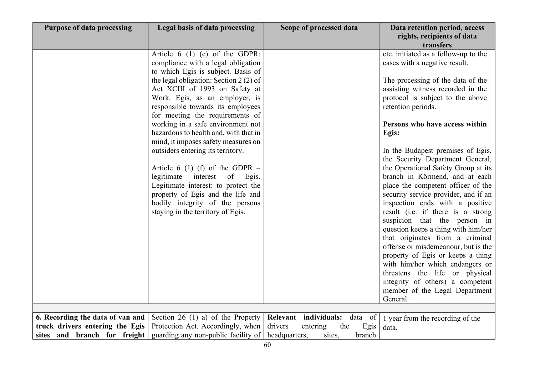| <b>Purpose of data processing</b> | Legal basis of data processing                                                                                                                                                                                                                                                                                                                                                                                                                                                                                                                                                                                                                                                             | Scope of processed data            | Data retention period, access<br>rights, recipients of data                                                                                                                                                                                                                                                                                                                                                                                                                                                                                                                                                                                                                                                                                                                                                                                                                                                            |
|-----------------------------------|--------------------------------------------------------------------------------------------------------------------------------------------------------------------------------------------------------------------------------------------------------------------------------------------------------------------------------------------------------------------------------------------------------------------------------------------------------------------------------------------------------------------------------------------------------------------------------------------------------------------------------------------------------------------------------------------|------------------------------------|------------------------------------------------------------------------------------------------------------------------------------------------------------------------------------------------------------------------------------------------------------------------------------------------------------------------------------------------------------------------------------------------------------------------------------------------------------------------------------------------------------------------------------------------------------------------------------------------------------------------------------------------------------------------------------------------------------------------------------------------------------------------------------------------------------------------------------------------------------------------------------------------------------------------|
|                                   | Article $6(1)(c)$ of the GDPR:<br>compliance with a legal obligation<br>to which Egis is subject. Basis of<br>the legal obligation: Section $2(2)$ of<br>Act XCIII of 1993 on Safety at<br>Work. Egis, as an employer, is<br>responsible towards its employees<br>for meeting the requirements of<br>working in a safe environment not<br>hazardous to health and, with that in<br>mind, it imposes safety measures on<br>outsiders entering its territory.<br>Article 6 (1) (f) of the GDPR $-$<br>legitimate interest<br>of<br>Egis.<br>Legitimate interest: to protect the<br>property of Egis and the life and<br>bodily integrity of the persons<br>staying in the territory of Egis. |                                    | transfers<br>etc. initiated as a follow-up to the<br>cases with a negative result.<br>The processing of the data of the<br>assisting witness recorded in the<br>protocol is subject to the above<br>retention periods.<br>Persons who have access within<br>Egis:<br>In the Budapest premises of Egis,<br>the Security Department General,<br>the Operational Safety Group at its<br>branch in Körmend, and at each<br>place the competent officer of the<br>security service provider, and if an<br>inspection ends with a positive<br>result (i.e. if there is a strong<br>suspicion that the person in<br>question keeps a thing with him/her<br>that originates from a criminal<br>offense or misdemeanour, but is the<br>property of Egis or keeps a thing<br>with him/her which endangers or<br>threatens the life or physical<br>integrity of others) a competent<br>member of the Legal Department<br>General. |
| 6. Recording the data of van and  | Section 26 (1) a) of the Property                                                                                                                                                                                                                                                                                                                                                                                                                                                                                                                                                                                                                                                          | Relevant individuals: data of      |                                                                                                                                                                                                                                                                                                                                                                                                                                                                                                                                                                                                                                                                                                                                                                                                                                                                                                                        |
| truck drivers entering the Egis   | Protection Act. Accordingly, when                                                                                                                                                                                                                                                                                                                                                                                                                                                                                                                                                                                                                                                          | drivers<br>entering<br>the<br>Egis | 1 year from the recording of the<br>data.                                                                                                                                                                                                                                                                                                                                                                                                                                                                                                                                                                                                                                                                                                                                                                                                                                                                              |
| sites and branch for freight      | guarding any non-public facility of                                                                                                                                                                                                                                                                                                                                                                                                                                                                                                                                                                                                                                                        | headquarters,<br>sites,<br>branch  |                                                                                                                                                                                                                                                                                                                                                                                                                                                                                                                                                                                                                                                                                                                                                                                                                                                                                                                        |
|                                   |                                                                                                                                                                                                                                                                                                                                                                                                                                                                                                                                                                                                                                                                                            |                                    |                                                                                                                                                                                                                                                                                                                                                                                                                                                                                                                                                                                                                                                                                                                                                                                                                                                                                                                        |